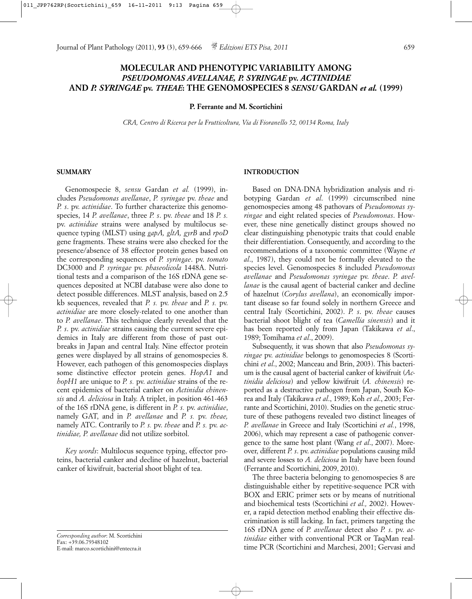# **MOLECULAR AND PHENOTYPIC VARIABILITY AMONG**  *PSEUDOMONAS AVELLANAE, P. SYRINGAE* **pv.** *ACTINIDIAE* **AND** *P. SYRINGAE* **pv.** *THEAE***: THE GENOMOSPECIES 8** *SENSU* **GARDAN** *et al.* **(1999)**

#### **P. Ferrante and M. Scortichini**

*CRA, Centro di Ricerca per la Frutticoltura, Via di Fioranello 52, 00134 Roma, Italy*

#### **SUMMARY**

Genomospecie 8, *sensu* Gardan *et al.* (1999), includes *Pseudomonas avellanae*, *P. syringae* pv. *theae* and *P. s*. pv. *actinidiae*. To further characterize this genomospecies, 14 *P. avellanae*, three *P. s*. pv. *theae* and 18 *P. s.* pv. *actinidiae* strains were analysed by multilocus sequence typing (MLST) using *gapA, gltA, gyrB* and *rpoD* gene fragments. These strains were also checked for the presence/absence of 38 effector protein genes based on the corresponding sequences of *P. syringae*. pv. *tomato* DC3000 and *P. syringae* pv. *phaseolicola* 1448A. Nutritional tests and a comparison of the 16S rDNA gene sequences deposited at NCBI database were also done to detect possible differences. MLST analysis, based on 2.5 kb sequences, revealed that *P. s.* pv. *theae* and *P. s.* pv. *actinidiae* are more closely-related to one another than to *P. avellanae*. This technique clearly revealed that the *P. s*. pv. *actinidiae* strains causing the current severe epidemics in Italy are different from those of past outbreaks in Japan and central Italy. Nine effector protein genes were displayed by all strains of genomospecies 8. However, each pathogen of this genomospecies displays some distinctive effector protein genes. *HopA1* and *hopH1* are unique to *P. s.* pv. *actinidiae* strains of the recent epidemics of bacterial canker on *Actinidia chinensis* and *A. deliciosa* in Italy. A triplet, in position 461-463 of the 16S rDNA gene, is different in *P. s.* pv. *actinidiae*, namely GAT, and in *P. avellanae* and *P. s.* pv. *theae,* namely ATC. Contrarily to *P. s.* pv. *theae* and *P. s.* pv. *actinidiae, P. avellanae* did not utilize sorbitol.

*Key words*: Multilocus sequence typing, effector proteins, bacterial canker and decline of hazelnut, bacterial canker of kiwifruit, bacterial shoot blight of tea.

*Corresponding author*: M. Scortichini Fax: +39.06.79348102 E-mail: marco.scortichini@entecra.it

# **INTRODUCTION**

Based on DNA-DNA hybridization analysis and ribotyping Gardan *et al*. (1999) circumscribed nine genomospecies among 48 pathovars of *Pseudomonas syringae* and eight related species of *Pseudomonas*. However, these nine genetically distinct groups showed no clear distinguishing phenotypic traits that could enable their differentiation. Consequently, and according to the recommendations of a taxonomic committee (Wayne *et al*., 1987), they could not be formally elevated to the species level. Genomospecies 8 included *Pseudomonas avellanae* and *Pseudomonas syringae* pv. *theae*. *P. avellanae* is the causal agent of bacterial canker and decline of hazelnut (*Corylus avellana*), an economically important disease so far found solely in northern Greece and central Italy (Scortichini, 2002). *P. s*. pv. *theae* causes bacterial shoot blight of tea (*Camellia sinensis*) and it has been reported only from Japan (Takikawa *et al*., 1989; Tomihama *et al*., 2009).

Subsequently, it was shown that also *Pseudomonas syringae* pv. *actinidiae* belongs to genomospecies 8 (Scortichini *et al*., 2002; Manceau and Brin, 2003). This bacterium is the causal agent of bacterial canker of kiwifruit (*Actinidia deliciosa*) and yellow kiwifruit (*A. chinensis*) reported as a destructive pathogen from Japan, South Korea and Italy (Takikawa *et al*., 1989; Koh *et al*., 2003; Ferrante and Scortichini, 2010). Studies on the genetic structure of these pathogens revealed two distinct lineages of *P. avellanae* in Greece and Italy (Scortichini *et al.*, 1998, 2006), which may represent a case of pathogenic convergence to the same host plant (Wang *et al*., 2007). Moreover, different *P. s*. pv. *actinidiae* populations causing mild and severe losses to *A. deliciosa* in Italy have been found (Ferrante and Scortichini, 2009, 2010).

The three bacteria belonging to genomospecies 8 are distinguishable either by repetitive-sequence PCR with BOX and ERIC primer sets or by means of nutritional and biochemical tests (Scortichini *et al.,* 2002). However, a rapid detection method enabling their effective discrimination is still lacking. In fact, primers targeting the 16S rDNA gene of *P. avellanae* detect also *P. s*. pv. *actinidiae* either with conventional PCR or TaqMan realtime PCR (Scortichini and Marchesi, 2001; Gervasi and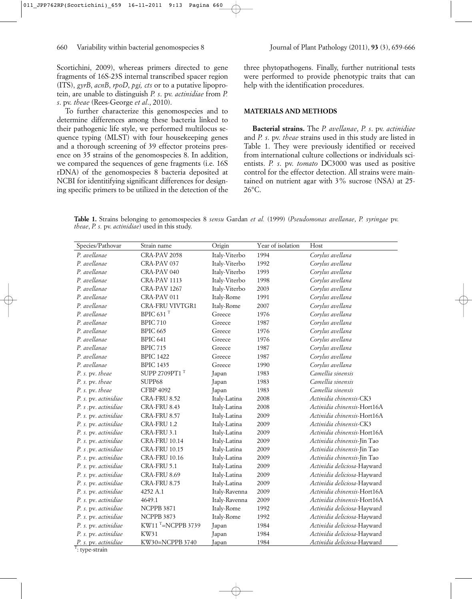Scortichini, 2009), whereas primers directed to gene fragments of 16S-23S internal transcribed spacer region (ITS), *gyrB*, *acnB*, *rpoD*, *pgi, cts* or to a putative lipoprotein, are unable to distinguish *P. s*. pv. *actinidiae* from *P. s*. pv. *theae* (Rees-George *et al*., 2010).

To further characterize this genomospecies and to determine differences among these bacteria linked to their pathogenic life style, we performed multilocus sequence typing (MLST) with four housekeeping genes and a thorough screening of 39 effector proteins presence on 35 strains of the genomospecies 8. In addition, we compared the sequences of gene fragments (i.e. 16S rDNA) of the genomospecies 8 bacteria deposited at NCBI for identitifying significant differences for designing specific primers to be utilized in the detection of the three phytopathogens. Finally, further nutritional tests were performed to provide phenotypic traits that can help with the identification procedures.

# **MATERIALS AND METHODS**

**Bacterial strains.** The *P. avellanae*, *P. s*. pv. *actinidiae* and *P. s*. pv. *theae* strains used in this study are listed in Table 1. They were previously identified or received from international culture collections or individuals scientists. *P. s*. pv. *tomato* DC3000 was used as positive control for the effector detection. All strains were maintained on nutrient agar with 3% sucrose (NSA) at 25- 26°C.

**Table 1.** Strains belonging to genomospecies 8 *sensu* Gardan *et al.* (1999) (*Pseudomonas avellanae*, *P. syringae* pv. *theae*, *P. s.* pv. *actinidiae*) used in this study.

| Species/Pathovar     | Strain name              | Origin        | Year of isolation | Host                        |
|----------------------|--------------------------|---------------|-------------------|-----------------------------|
| P. avellanae         | CRA-PAV 2058             | Italy-Viterbo | 1994              | Corylus avellana            |
| P. avellanae         | CRA-PAV 037              | Italy-Viterbo | 1992              | Corylus avellana            |
| P. avellanae         | CRA-PAV 040              | Italy-Viterbo | 1993              | Corylus avellana            |
| P. avellanae         | CRA-PAV 1113             | Italy-Viterbo | 1998              | Corylus avellana            |
| P. avellange         | CRA-PAV 1267             | Italy-Viterbo | 2003              | Corylus avellana            |
| P. avellanae         | CRA-PAV 011              | Italy-Rome    | 1991              | Corylus avellana            |
| P. avellanae         | <b>CRA-FRU VIVTGR1</b>   | Italy-Rome    | 2007              | Corylus avellana            |
| P. avellanae         | BPIC 631 $^{\mathrm{T}}$ | Greece        | 1976              | Corylus avellana            |
| P. avellanae         | <b>BPIC 710</b>          | Greece        | 1987              | Corylus avellana            |
| P. avellanae         | <b>BPIC 665</b>          | Greece        | 1976              | Corylus avellana            |
| P. avellanae         | BPIC 641                 | Greece        | 1976              | Corylus avellana            |
| P. avellange         | <b>BPIC 715</b>          | Greece        | 1987              | Corylus avellana            |
| P. avellange         | <b>BPIC 1422</b>         | Greece        | 1987              | Corylus avellana            |
| P. avellange         | <b>BPIC 1435</b>         | Greece        | 1990              | Corylus avellana            |
| P. s. pv. theae      | SUPP 2709PT1 T           | Japan         | 1983              | Camellia sinensis           |
| P. s. pv. theae      | SUPP68                   | Japan         | 1983              | Camellia sinensis           |
| P. s. pv. theae      | <b>CFBP 4092</b>         | Japan         | 1983              | Camellia sinensis           |
| P. s. pv. actinidiae | CRA-FRU 8.52             | Italy-Latina  | 2008              | Actinidia chinensis-CK3     |
| P. s.pv. actinidiae  | CRA-FRU 8.43             | Italy-Latina  | 2008              | Actinidia chinensis-Hort16A |
| P. s. pv. actinidiae | CRA-FRU 8.57             | Italy-Latina  | 2009              | Actinidia chinensis-Hort16A |
| P. s. pv. actinidiae | CRA-FRU 1.2              | Italy-Latina  | 2009              | Actinidia chinensis-CK3     |
| P. s. pv. actinidiae | CRA-FRU 3.1              | Italy-Latina  | 2009              | Actinidia chinensis-Hort16A |
| P. s. pv. actinidiae | <b>CRA-FRU 10.14</b>     | Italy-Latina  | 2009              | Actinidia chinensis-Jin Tao |
| P. s.pv. actinidiae  | <b>CRA-FRU 10.15</b>     | Italy-Latina  | 2009              | Actinidia chinensis-Jin Tao |
| P. s. pv. actinidiae | <b>CRA-FRU 10.16</b>     | Italy-Latina  | 2009              | Actinidia chinensis-Jin Tao |
| P. s. pv. actinidiae | CRA-FRU 5.1              | Italy-Latina  | 2009              | Actinidia deliciosa-Hayward |
| P. s. pv. actinidiae | CRA-FRU 8.69             | Italy-Latina  | 2009              | Actinidia deliciosa-Hayward |
| P. s. pv. actinidiae | <b>CRA-FRU 8.75</b>      | Italy-Latina  | 2009              | Actinidia deliciosa-Hayward |
| P. s. pv. actinidiae | 4252 A.1                 | Italy-Ravenna | 2009              | Actinidia chinensis-Hort16A |
| P. s. pv. actinidiae | 4649.1                   | Italy-Ravenna | 2009              | Actinidia chinensis-Hort16A |
| P. s. pv. actinidiae | <b>NCPPB 3871</b>        | Italy-Rome    | 1992              | Actinidia deliciosa-Hayward |
| P. s. pv. actinidiae | NCPPB 3873               | Italy-Rome    | 1992              | Actinidia deliciosa-Hayward |
| P. s. pv. actinidiae | KW11 $^T$ =NCPPB 3739    | Japan         | 1984              | Actinidia deliciosa-Hayward |
| P. s. pv. actinidiae | KW31                     | Japan         | 1984              | Actinidia deliciosa-Hayward |
| P. s. pv. actinidiae | KW30=NCPPB 3740          | Japan         | 1984              | Actinidia deliciosa-Hayward |
| type-strain          |                          |               |                   |                             |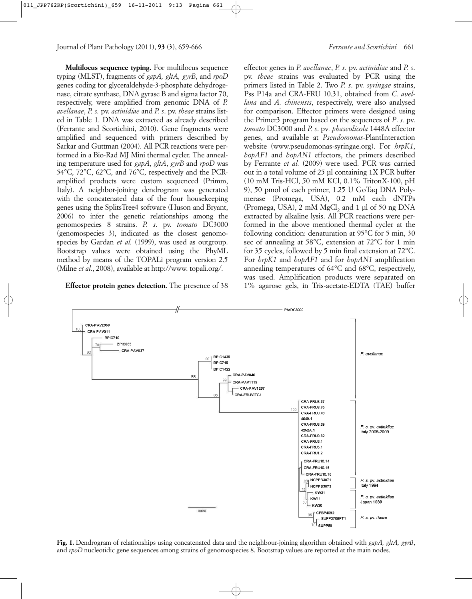**Multilocus sequence typing.** For multilocus sequence typing (MLST), fragments of *gapA, gltA, gyrB*, and *rpoD* genes coding for glyceraldehyde-3-phosphate dehydrogenase, citrate synthase, DNA gyrase B and sigma factor 70, respectively, were amplified from genomic DNA of *P. avellanae*, *P. s.* pv. *actinidiae* and *P. s*. pv. *theae* strains listed in Table 1. DNA was extracted as already described (Ferrante and Scortichini, 2010). Gene fragments were amplified and sequenced with primers described by Sarkar and Guttman (2004). All PCR reactions were performed in a Bio-Rad MJ Mini thermal cycler. The annealing temperature used for *gapA*, *gltA*, *gyrB* and *rpoD* was 54°C, 72°C, 62°C, and 76°C, respectively and the PCRamplified products were custom sequenced (Primm, Italy). A neighbor-joining dendrogram was generated with the concatenated data of the four housekeeping genes using the SplitsTree4 software (Huson and Bryant, 2006) to infer the genetic relationships among the genomospecies 8 strains. *P. s*. pv. *tomato* DC3000 (genomospecies 3), indicated as the closest genomospecies by Gardan *et al.* (1999), was used as outgroup. Bootstrap values were obtained using the PhyML method by means of the TOPALi program version 2.5 (Milne *et al*., 2008), available at http://www. topali.org*/*.

# **Effector protein genes detection.** The presence of 38

effector genes in *P. avellanae*, *P. s.* pv. *actinidiae* and *P. s*. pv. *theae* strains was evaluated by PCR using the primers listed in Table 2. Two *P. s*. pv. *syringae* strains, Pss P14a and CRA-FRU 10.31, obtained from *C. avellana* and *A. chinensis*, respectively, were also analysed for comparison. Effector primers were designed using the Primer3 program based on the sequences of *P*. *s.* pv. *tomato* DC3000 and *P. s*. pv*. phaseolicola* 1448A effector genes, and available at *Pseudomonas*-PlantInteraction website (www.pseudomonas-syringae.org). For *hrpK1*, *hopAF1* and *hopAN1* effectors, the primers described by Ferrante *et al.* (2009) were used. PCR was carried out in a total volume of 25 µl containing 1X PCR buffer (10 mM Tris-HCl, 50 mM KCl, 0.1% TritonX-100, pH 9), 50 pmol of each primer, 1.25 U GoTaq DNA Polymerase (Promega, USA), 0.2 mM each dNTPs (Promega, USA),  $2 \text{ mM MgCl}_2$  and  $1 \text{ µl of } 50 \text{ ng DNA}$ extracted by alkaline lysis. All PCR reactions were performed in the above mentioned thermal cycler at the following condition: denaturation at 95°C for 5 min, 30 sec of annealing at 58°C, extension at 72°C for 1 min for 35 cycles, followed by 5 min final extension at 72°C. For *hrpK1* and *hopAF1* and for *hopAN1* amplification annealing temperatures of 64°C and 68°C, respectively, was used. Amplification products were separated on 1% agarose gels, in Tris-acetate-EDTA (TAE) buffer



**Fig. 1.** Dendrogram of relationships using concatenated data and the neighbour-joining algorithm obtained with *gapA, gltA, gyrB*, and *rpoD* nucleotidic gene sequences among strains of genomospecies 8. Bootstrap values are reported at the main nodes.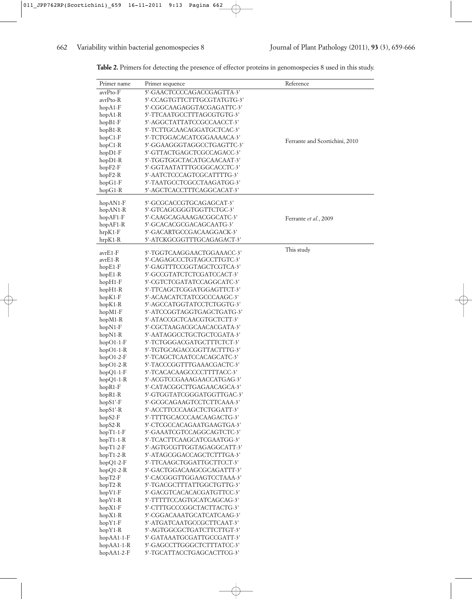| Primer name            | Primer sequence                                          | Reference                      |
|------------------------|----------------------------------------------------------|--------------------------------|
| avrPto-F               | 5'-GAACTCCCCAGACCGAGTTA-3'                               |                                |
| avrPto-R               | 5'-CCAGTGTTCTTTGCGTATGTG-3'                              |                                |
| $hopA1-F$              | 5'-CGGCAAGAGGTACGAGATTC-3'                               |                                |
| $hopA1-R$              | 5'-TTCAATGCCTTTAGCGTGTG-3'                               |                                |
| $hopB1-F$              | 5'-AGGCTATTATCCGCCAACCT-3'                               |                                |
| $hopB1-R$              | 5'-TCTTGCAACAGGATGCTCAC-3'                               |                                |
| hopC1-F                | 5'-TCTGGACACATCGGAAAACA-3'                               | Ferrante and Scortichini, 2010 |
| $hopC1-R$              | 5'-GGAAGGGTAGGCCTGAGTTC-3'                               |                                |
| $hopD1-F$              | 5'-GTTACTGAGCTCGCCAGACC-3'                               |                                |
| $hopD1-R$              | 5'-TGGTGGCTACATGCAACAAT-3'                               |                                |
| $hopF2-F$              | 5'-GGTAATATTTGCGGCACCTC-3'<br>5'-AATCTCCCAGTCGCATTTTG-3' |                                |
| $hopF2-R$              | 5'-TAATGCCTCGCCTAAGATGG-3'                               |                                |
| $hopG1-F$<br>$hopG1-R$ | 5'-AGCTCACCTTTCAGGCACAT-3'                               |                                |
|                        |                                                          |                                |
| $hopAN1-F$             | 5'-GCGCACCGTGCAGAGCAT-3'                                 |                                |
| $hopAN1-R$             | 5'-GTCAGCGGGTGGTTCTGC-3'                                 |                                |
| $hopAF1-F$             | 5'-CAAGCAGAAAGACGGCATC-3'                                | Ferrante et al., 2009          |
| $hopAF1-R$             | 5'-GCACACGCGACAGCAATG-3'                                 |                                |
| $hrpK1-F$              | 5'-GACARTGCCGACAAGGACK-3'                                |                                |
| $hrpK1-R$              | 5'-ATCKGCGGTTTGCAGAGACT-3'                               |                                |
| avrE1-F                | 5'-TGGTCAAGGAACTGGAAACC-3'                               | This study                     |
| avrE1-R                | 5'-CAGAGCCCTGTAGCCTTGTC-3'                               |                                |
| $hopE1-F$              | 5'-GAGTTTCCGGTAGCTCGTCA-3'                               |                                |
| $hopE1-R$              | 5'-GCCGTATCTCTCGATCCACT-3'                               |                                |
| $hopH1-F$              | 5'-CGTCTCGATATCCAGGCATC-3'                               |                                |
| $hopH1-R$              | 5'-TTCAGCTCGGATGGAGTTCT-3'                               |                                |
| $hopK1-F$              | 5'-ACAACATCTATCGCCCAAGC-3'                               |                                |
| $hopK1-R$              | 5'-AGCCATGGTATCCTCTGGTG-3'                               |                                |
| $hopM1-F$              | 5'-ATCCGGTAGGTGAGCTGATG-3'                               |                                |
| $hopM1-R$              | 5'-ATACCGCTCAACGTGCTCTT-3'                               |                                |
| $hopN1-F$              | 5'-CGCTAAGACGCAACACGATA-3'                               |                                |
| $hopN1-R$              | 5'-AATAGGCCTGCTGCTCGATA-3'                               |                                |
| $hopO1-1-F$            | 5'-TCTGGGACGATGCTTTCTCT-3'                               |                                |
| $hopO1-1-R$            | 5'-TGTGCAGACCGGTTACTTTG-3'                               |                                |
| $hopO1-2-F$            | 5'-TCAGCTCAATCCACAGCATC-3'                               |                                |
| $hopO1-2-R$            | 5'-TACCCGGTTTGAAACGACTC-3'                               |                                |
| $hopQ1-1-F$            | 5'-TCACACAAGCCCCTTTTACC-3'                               |                                |
| $hopQ1-1-R$            | 5'-ACGTCCGAAAGAACCATGAG-3'                               |                                |
| hopR1-F                | 5'-CATACGGCTTGAGAACAGCA-3'                               |                                |
| hopR1-R                | 5'-GTGGTATCGGGATGGTTGAC-3'                               |                                |
| $hopS1'-F$             | 5'-GCGCAGAAGTCCTCTTCAAA-3'                               |                                |
| hopS1'-R               | 5'-ACCTTCCCAAGCTCTGGATT-3'                               |                                |
| hopS2-F                | 5'-TTTTGCACCCAACAAGACTG-3'                               |                                |
| $hopS2-R$              | 5'-CTCGCCACAGAATGAAGTGA-3'                               |                                |
| $hopT1-1-F$            | 5'-GAAATCGTCCAGGCAGTCTC-3'                               |                                |
| $hopT1-1-R$            | 5'-TCACTTCAAGCATCGAATGG-3'                               |                                |
| $hopT1-2-F$            | 5'-AGTGCGTTGGTAGAGGCATT-3'                               |                                |
| $hopT1-2-R$            | 5'-ATAGCGGACCAGCTCTTTGA-3'                               |                                |
| $hopQ1-2-F$            | 5'-TTCAAGCTGGATTGCTTCCT-3'                               |                                |
| $hopQ1-2-R$            | 5'-GACTGGACAAGCGCAGATTT-3'                               |                                |
| $hopT2-F$              | 5'-CACGGGTTGGAAGTCCTAAA-3'                               |                                |
| $hopT2-R$              | 5'-TGACGCTTTATTGGCTGTTG-3'                               |                                |
| $hopV1-F$              | 5'-GACGTCACACACGATGTTCC-3'                               |                                |
| $hopV1-R$              | 5'-TTTTTCCAGTGCATCAGCAG-3'                               |                                |
| $hopX1-F$              | 5'-CTTTGCCCGGCTACTTACTG-3'                               |                                |
| $hopX1-R$              | 5'-CGGACAAATGCATCATCAAG-3'                               |                                |
| $hopY1-F$              | 5'-ATGATCAATGCCGCTTCAAT-3'                               |                                |
| $hopY1-R$              | 5'-AGTGGCGCTGATCTTCTTGT-3'                               |                                |
| $hopAA1-1-F$           | 5'-GATAAATGCGATTGCCGATT-3'                               |                                |
| $hopAA1-1-R$           | 5'-GAGCCTTGGGCTCTTTATCC-3'                               |                                |
| $hopAA1-2-F$           | 5'-TGCATTACCTGAGCACTTCG-3'                               |                                |

**Table 2.** Primers for detecting the presence of effector proteins in genomospecies 8 used in this study.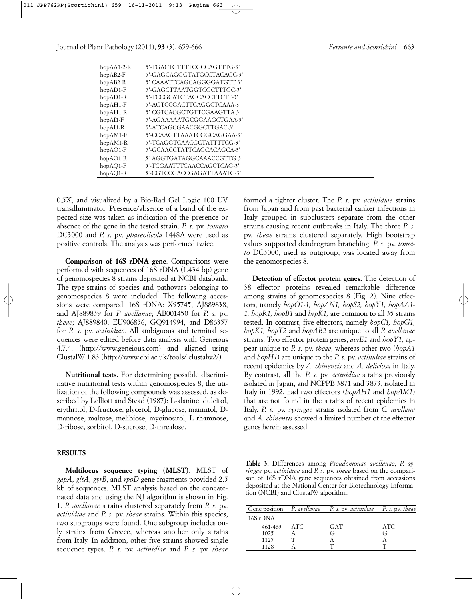| $hopAA1-2-R$ | 5'-TGACTGTTTTCGCCAGTTTG-3'  |
|--------------|-----------------------------|
| $hopAB2-F$   | 5'-GAGCAGGGTATGCCTACAGC-3'  |
| $hopAB2-R$   | 5'-CAAATTCAGCAGGGGATGTT-3'  |
| $hopAD1-F$   | 5'-GAGCTTAATGGTCGCTTTGC-3'  |
| $hopAD1-R$   | 5'-TCCGCATCTAGCACCTTCTT-3'  |
| $hopAH1-F$   | 5'-AGTCCGACTTCAGGCTCAAA-3'  |
| $hopAH1-R$   | 5'-CGTCACGCTGTTCGAAGTTA-3'  |
| $hopAI1-F$   | 5'-AGAAAAAATGCGGAAGCTGAA-3' |
| $hopAI1-R$   | 5'-ATCAGCGAACGGCTTGAC-3'    |
| $hopAM1-F$   | 5'-CCAAGTTAAATCGGCAGGAA-3'  |
| $hopAM1-R$   | 5'-TCAGGTCAACGCTATTTTCG-3'  |
| $hopAO1-F$   | 5'-GCAACCTATTCAGCACAGCA-3'  |
| $hopAO1-R$   | 5'-AGGTGATAGGCAAACCGTTG-3'  |
| $hopAO1-F$   | 5'-TCGAATTTCAACCAGCTCAG-3'  |
| $hopAO1-R$   | 5'-CGTCCGACCGAGATTAAATG-3'  |

0.5X, and visualized by a Bio-Rad Gel Logic 100 UV transilluminator. Presence/absence of a band of the expected size was taken as indication of the presence or absence of the gene in the tested strain. *P. s*. pv. *tomato* DC3000 and *P. s*. pv*. phaseolicola* 1448A were used as positive controls. The analysis was performed twice.

**Comparison of 16S rDNA gene**. Comparisons were performed with sequences of 16S rDNA (1.434 bp) gene of genomospecies 8 strains deposited at NCBI databank. The type-strains of species and pathovars belonging to genomospecies 8 were included. The following accessions were compared. 16S rDNA: X95745, AJ889838, and AJ889839 for *P. avellanae*; AB001450 for *P. s.* pv. *theae*; AJ889840, EU906856, GQ914994, and D86357 for *P. s*. pv. *actinidiae*. All ambiguous and terminal sequences were edited before data analysis with Geneious 4.7.4. (http://www.geneious.com) and aligned using ClustalW 1.83 (http://www.ebi.ac.uk/tools/ clustalw2/).

**Nutritional tests.** For determining possible discriminative nutritional tests within genomospecies 8, the utilization of the following compounds was assessed, as described by Lelliott and Stead (1987): L-alanine, dulcitol, erythritol, D-fructose, glycerol, D-glucose, mannitol, Dmannose, maltose, melibiose, myoinositol, L-rhamnose, D-ribose, sorbitol, D-sucrose, D-threalose.

# **RESULTS**

**Multilocus sequence typing (MLST).** MLST of *gapA*, *gltA*, *gyrB*, and *rpoD* gene fragments provided 2.5 kb of sequences. MLST analysis based on the concatenated data and using the NJ algorithm is shown in Fig. 1. *P. avellanae* strains clustered separately from *P. s*. pv. *actinidiae* and *P. s.* pv. *theae* strains. Within this species, two subgroups were found. One subgroup includes only strains from Greece, whereas another only strains from Italy. In addition, other five strains showed single sequence types. *P. s*. pv. *actinidiae* and *P. s*. pv. *theae*

formed a tighter cluster. The *P. s*. pv. *actinidiae* strains from Japan and from past bacterial canker infections in Italy grouped in subclusters separate from the other strains causing recent outbreaks in Italy. The three *P. s*. pv. *theae* strains clustered separately. High bootstrap values supported dendrogram branching. *P. s*. pv. *tomato* DC3000, used as outgroup, was located away from the genomospecies 8.

**Detection of effector protein genes.** The detection of 38 effector proteins revealed remarkable difference among strains of genomospecies 8 (Fig. 2). Nine effectors, namely *hopO1-1, hopAN1, hopS2, hopY1, hopAA1- 1, hopR1, hopB1* and *hrpK1,* are common to all 35 strains tested. In contrast, five effectors, namely *hopC1, hopG1, hopK1, hopT2* and *hopAB2* are unique to all *P. avellanae* strains. Two effector protein genes, *avrE1* and *hopY1*, appear unique to *P. s.* pv. *theae*, whereas other two (*hopA1* and *hopH1*) are unique to the *P. s*. pv. *actinidiae* strains of recent epidemics by *A. chinensis* and *A. deliciosa* in Italy. By contrast, all the *P. s.* pv. *actinidiae* strains previously isolated in Japan, and NCPPB 3871 and 3873, isolated in Italy in 1992, had two effectors (*hopAH1* and *hopAM1*) that are not found in the strains of recent epidemics in Italy. *P. s.* pv. *syringae* strains isolated from *C. avellana* and *A. chinensis* showed a limited number of the effector genes herein assessed.

**Table 3.** Differences among *Pseudomonas avellanae*, *P. syringae* pv. *actinidiae* and *P. s.* pv. *theae* based on the comparison of 16S rDNA gene sequences obtained from accessions deposited at the National Center for Biotechnology Information (NCBI) and ClustalW algorithm.

| Gene position P. avellange | P. s. pv. actinidiae P. s. pv. theae |      |
|----------------------------|--------------------------------------|------|
| 16S rDNA                   |                                      |      |
| 461-463 ATC                | GAT                                  | ATC. |
| 1025                       | G                                    |      |
| 1125                       |                                      |      |
| 1128                       |                                      |      |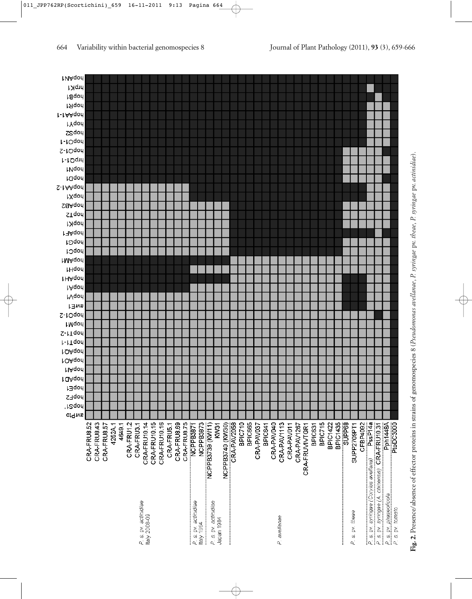| t VAqon             |             |             |             |         |        |            |                      |               |              |              |            |             |             |                                            |           |                      |             |                  |             |                |         |            |         |            |              |            |             |                           |                |                 |                 |        |             |          |                                       |                                                |                 |                                            |
|---------------------|-------------|-------------|-------------|---------|--------|------------|----------------------|---------------|--------------|--------------|------------|-------------|-------------|--------------------------------------------|-----------|----------------------|-------------|------------------|-------------|----------------|---------|------------|---------|------------|--------------|------------|-------------|---------------------------|----------------|-----------------|-----------------|--------|-------------|----------|---------------------------------------|------------------------------------------------|-----------------|--------------------------------------------|
| hrpK1               |             |             |             |         |        |            |                      |               |              |              |            |             |             |                                            |           |                      |             |                  |             |                |         |            |         |            |              |            |             |                           |                |                 |                 |        |             |          |                                       |                                                |                 |                                            |
| haqon               |             |             |             |         |        |            |                      |               |              |              |            |             |             |                                            |           |                      |             |                  |             |                |         |            |         |            |              |            |             |                           |                |                 |                 |        |             |          |                                       |                                                |                 |                                            |
| hapR1               |             |             |             |         |        |            |                      |               |              |              |            |             |             |                                            |           |                      |             |                  |             |                |         |            |         |            |              |            |             |                           |                |                 |                 |        |             |          |                                       |                                                |                 |                                            |
| r-tAAqon            |             |             |             |         |        |            |                      |               |              |              |            |             |             |                                            |           |                      |             |                  |             |                |         |            |         |            |              |            |             |                           |                |                 |                 |        |             |          |                                       |                                                |                 |                                            |
| <b>LYqon</b>        |             |             |             |         |        |            |                      |               |              |              |            |             |             |                                            |           |                      |             |                  |             |                |         |            |         |            |              |            |             |                           |                |                 |                 |        |             |          |                                       |                                                |                 |                                            |
| <b>Saqod</b>        |             |             |             |         |        |            |                      |               |              |              |            |             |             |                                            |           |                      |             |                  |             |                |         |            |         |            |              |            |             |                           |                |                 |                 |        |             |          |                                       |                                                |                 |                                            |
| h-10qon             |             |             |             |         |        |            |                      |               |              |              |            |             |             |                                            |           |                      |             |                  |             |                |         |            |         |            |              |            |             |                           |                |                 |                 |        |             |          |                                       |                                                |                 |                                            |
| hopQ1-2             |             |             |             |         |        |            |                      |               |              |              |            |             |             |                                            |           |                      |             |                  |             |                |         |            |         |            |              |            |             |                           |                |                 |                 |        |             |          |                                       |                                                |                 |                                            |
| h-tOqin             |             |             |             |         |        |            |                      |               |              |              |            |             |             |                                            |           |                      |             |                  |             |                |         |            |         |            |              |            |             |                           |                |                 |                 |        |             |          |                                       |                                                |                 |                                            |
| <b>INdou</b>        |             |             |             |         |        |            |                      |               |              |              |            |             |             |                                            |           |                      |             |                  |             |                |         |            |         |            |              |            |             |                           |                |                 |                 |        |             |          |                                       |                                                |                 |                                            |
| <b>Laqon</b>        |             |             |             |         |        |            |                      |               |              |              |            |             |             |                                            |           |                      |             |                  |             |                |         |            |         |            |              |            |             |                           |                |                 |                 |        |             |          |                                       |                                                |                 |                                            |
| S-1AAqon            |             |             |             |         |        |            |                      |               |              |              |            |             |             |                                            |           |                      |             |                  |             |                |         |            |         |            |              |            |             |                           |                |                 |                 |        |             |          |                                       |                                                |                 |                                            |
| hxqon               |             |             |             |         |        |            |                      |               |              |              |            |             |             |                                            |           |                      |             |                  |             |                |         |            |         |            |              |            |             |                           |                |                 |                 |        |             |          |                                       |                                                |                 |                                            |
| <b>Sa</b> Aqon      |             |             |             |         |        |            |                      |               |              |              |            |             |             |                                            |           |                      |             |                  |             |                |         |            |         |            |              |            |             |                           |                |                 |                 |        |             |          |                                       |                                                |                 |                                            |
| <b>STqon</b>        |             |             |             |         |        |            |                      |               |              |              |            |             |             |                                            |           |                      |             |                  |             |                |         |            |         |            |              |            |             |                           |                |                 |                 |        |             |          |                                       |                                                |                 |                                            |
| hopK1               |             |             |             |         |        |            |                      |               |              |              |            |             |             |                                            |           |                      |             |                  |             |                |         |            |         |            |              |            |             |                           |                |                 |                 |        |             |          |                                       |                                                |                 |                                            |
| <b>MAqon</b>        |             |             |             |         |        |            |                      |               |              |              |            |             |             |                                            |           |                      |             |                  |             |                |         |            |         |            |              |            |             |                           |                |                 |                 |        |             |          |                                       |                                                |                 |                                            |
| hopG1               |             |             |             |         |        |            |                      |               |              |              |            |             |             |                                            |           |                      |             |                  |             |                |         |            |         |            |              |            |             |                           |                |                 |                 |        |             |          |                                       |                                                |                 |                                            |
| hopC1               |             |             |             |         |        |            |                      |               |              |              |            |             |             |                                            |           |                      |             |                  |             |                |         |            |         |            |              |            |             |                           |                |                 |                 |        |             |          |                                       |                                                |                 |                                            |
| tMAqon              |             |             |             |         |        |            |                      |               |              |              |            |             |             |                                            |           |                      |             |                  |             |                |         |            |         |            |              |            |             |                           |                |                 |                 |        |             |          |                                       |                                                |                 |                                            |
| <b>Hqon</b>         |             |             |             |         |        |            |                      |               |              |              |            |             |             |                                            |           |                      |             |                  |             |                |         |            |         |            |              |            |             |                           |                |                 |                 |        |             |          |                                       |                                                |                 |                                            |
| <b>IHAqon</b>       |             |             |             |         |        |            |                      |               |              |              |            |             |             |                                            |           |                      |             |                  |             |                |         |            |         |            |              |            |             |                           |                |                 |                 |        |             |          |                                       |                                                |                 |                                            |
| <b>Mqon</b>         |             |             |             |         |        |            |                      |               |              |              |            |             |             |                                            |           |                      |             |                  |             |                |         |            |         |            |              |            |             |                           |                |                 |                 |        |             |          |                                       |                                                |                 |                                            |
| <b>L</b> /qou       |             |             |             |         |        |            |                      |               |              |              |            |             |             |                                            |           |                      |             |                  |             |                |         |            |         |            |              |            |             |                           |                |                 |                 |        |             |          |                                       |                                                |                 |                                            |
|                     |             |             |             |         |        |            |                      |               |              |              |            |             |             |                                            |           |                      |             |                  |             |                |         |            |         |            |              |            |             |                           |                |                 |                 |        |             |          |                                       |                                                |                 |                                            |
| <b>AVIE1</b>        |             |             |             |         |        |            |                      |               |              |              |            |             |             |                                            |           |                      |             |                  |             |                |         |            |         |            |              |            |             |                           |                |                 |                 |        |             |          |                                       |                                                |                 |                                            |
| S-rOqon             |             |             |             |         |        |            |                      |               |              |              |            |             |             |                                            |           |                      |             |                  |             |                |         |            |         |            |              |            |             |                           |                |                 |                 |        |             |          |                                       |                                                |                 |                                            |
| <b>LMqon</b>        |             |             |             |         |        |            |                      |               |              |              |            |             |             |                                            |           |                      |             |                  |             |                |         |            |         |            |              |            |             |                           |                |                 |                 |        |             |          |                                       |                                                |                 |                                            |
| S-ITqon             |             |             |             |         |        |            |                      |               |              |              |            |             |             |                                            |           |                      |             |                  |             |                |         |            |         |            |              |            |             |                           |                |                 |                 |        |             |          |                                       |                                                |                 |                                            |
| I-ITqon             |             |             |             |         |        |            |                      |               |              |              |            |             |             |                                            |           |                      |             |                  |             |                |         |            |         |            |              |            |             |                           |                |                 |                 |        |             |          |                                       |                                                |                 |                                            |
| tOAqon              |             |             |             |         |        |            |                      |               |              |              |            |             |             |                                            |           |                      |             |                  |             |                |         |            |         |            |              |            |             |                           |                |                 |                 |        |             |          |                                       |                                                |                 |                                            |
| <b>MAqon</b>        |             |             |             |         |        |            |                      |               |              |              |            |             |             |                                            |           |                      |             |                  |             |                |         |            |         |            |              |            |             |                           |                |                 |                 |        |             |          |                                       |                                                |                 |                                            |
| <b>MAqon</b>        |             |             |             |         |        |            |                      |               |              |              |            |             |             |                                            |           |                      |             |                  |             |                |         |            |         |            |              |            |             |                           |                |                 |                 |        |             |          |                                       |                                                |                 |                                            |
| <b>MAqon</b>        |             |             |             |         |        |            |                      |               |              |              |            |             |             |                                            |           |                      |             |                  |             |                |         |            |         |            |              |            |             |                           |                |                 |                 |        |             |          |                                       |                                                |                 |                                            |
| <b>JopE1</b>        |             |             |             |         |        |            |                      |               |              |              |            |             |             |                                            |           |                      |             |                  |             |                |         |            |         |            |              |            |             |                           |                |                 |                 |        |             |          |                                       |                                                |                 |                                            |
| hopF2               |             |             |             |         |        |            |                      |               |              |              |            |             |             |                                            |           |                      |             |                  |             |                |         |            |         |            |              |            |             |                           |                |                 |                 |        |             |          |                                       |                                                |                 |                                            |
| hepor'              |             |             |             |         |        |            |                      |               |              |              |            |             |             |                                            |           |                      |             |                  |             |                |         |            |         |            |              |            |             |                           |                |                 |                 |        |             |          |                                       |                                                |                 |                                            |
| of <sup>q</sup> ivs |             |             |             |         |        |            |                      |               |              |              |            |             |             |                                            |           |                      |             |                  |             |                |         |            |         |            |              |            |             |                           |                |                 |                 |        |             |          |                                       |                                                |                 |                                            |
|                     |             |             |             |         |        |            |                      |               |              |              |            |             |             |                                            |           |                      |             |                  |             |                |         |            |         |            |              |            |             |                           |                |                 |                 |        |             |          |                                       |                                                |                 |                                            |
|                     | CRA-FRU8.52 | CRA-FRU8.43 | CRA-FRU8.57 | 4252A.1 | 4649.1 | CRA-FRU1.2 | CRA-FRU3.1           | CRA-FRU10.14  | CRA-FRU10.15 | CRA-FRU10.16 | CRA-FRU5.1 | CRA-FRU8.69 | CRA-FRU8.75 | NCPPB3871                                  | NCPPB3873 | NCPPB3739 (KW11)     | <b>RW31</b> | NCPPB3740 (KW30) | CRA-PAV2058 | <b>BPIC710</b> | BPIC665 | CRA-PAV037 | BPIC641 | CRA-PAV040 | CRA-PAV1113  | CRA-PAV011 | CRA-PAV1267 | BPIC631<br>CRA-FRUVIVTGR1 | <b>BPIC715</b> | <b>BPIC1422</b> | <b>BPIC1435</b> | SUPP68 | SUPP2709PT1 | CFBP4092 | PssP14a                               |                                                | <b>Pph1448A</b> | PtoDC3000                                  |
|                     |             |             |             |         |        |            |                      |               |              |              |            |             |             |                                            |           |                      |             |                  |             |                |         |            |         |            |              |            |             |                           |                |                 |                 |        |             |          |                                       |                                                |                 |                                            |
|                     |             |             |             |         |        |            |                      |               |              |              |            |             |             |                                            |           |                      |             |                  |             |                |         |            |         |            |              |            |             |                           |                |                 |                 |        |             |          |                                       |                                                |                 |                                            |
|                     |             |             |             |         |        |            |                      |               |              |              |            |             |             |                                            |           |                      |             |                  |             |                |         |            |         |            |              |            |             |                           |                |                 |                 |        |             |          |                                       |                                                |                 |                                            |
|                     |             |             |             |         |        |            |                      |               |              |              |            |             |             |                                            |           |                      |             |                  |             |                |         |            |         |            |              |            |             |                           |                |                 |                 |        |             |          |                                       |                                                |                 |                                            |
|                     |             |             |             |         |        |            |                      |               |              |              |            |             |             |                                            |           |                      |             |                  |             |                |         |            |         |            |              |            |             |                           |                |                 |                 |        |             |          |                                       |                                                |                 |                                            |
|                     |             |             |             |         |        |            |                      |               |              |              |            |             |             |                                            |           |                      |             |                  |             |                |         |            |         |            |              |            |             |                           |                |                 |                 |        |             |          |                                       |                                                |                 |                                            |
|                     |             |             |             |         |        |            |                      |               |              |              |            |             |             |                                            |           |                      |             |                  |             |                |         |            |         |            |              |            |             |                           |                |                 |                 |        |             |          | P. s. pv. syringae (Corylus avellana) | P. s. pv. syringae (A. chinensis) CRA-FRU10.31 |                 |                                            |
|                     |             |             |             |         |        |            |                      |               |              |              |            |             |             |                                            |           |                      |             |                  |             |                |         |            |         |            |              |            |             |                           |                |                 |                 |        |             |          |                                       |                                                |                 |                                            |
|                     |             |             |             |         |        |            |                      |               |              |              |            |             |             |                                            |           |                      |             |                  |             |                |         |            |         |            |              |            |             |                           |                |                 |                 |        |             |          |                                       |                                                |                 |                                            |
|                     |             |             |             |         |        |            |                      |               |              |              |            |             |             |                                            |           |                      |             |                  |             |                |         |            |         |            |              |            |             |                           |                |                 |                 |        |             |          |                                       |                                                |                 |                                            |
|                     |             |             |             |         |        |            | P. s. pv. actinidiae | Italy 2008-09 |              |              |            |             |             | P. s. pv. <i>actinidia</i> e<br>Italy 1994 |           |                      |             |                  |             |                |         |            |         |            |              |            |             |                           |                |                 |                 |        | s.pv. theae |          |                                       |                                                |                 | P. s. pv. phaseolicola<br>P. s. pv. tomato |
|                     |             |             |             |         |        |            |                      |               |              |              |            |             |             |                                            |           | P. s. pv. actinidiae | Japan 1984  |                  |             |                |         |            |         |            | P. avellanae |            |             |                           |                |                 |                 |        |             |          |                                       |                                                |                 |                                            |
|                     |             |             |             |         |        |            |                      |               |              |              |            |             |             |                                            |           |                      |             |                  |             |                |         |            |         |            |              |            |             |                           |                |                 |                 |        |             |          |                                       |                                                |                 |                                            |

Fig. 2. Presence/absence of effector proteins in strains of genomospecies 8 (Pseudomonas avellanae, P. syringae pv. theae, P. syringae pv. actinidiae). **Fig. 2.** Presence/absence of effector proteins in strains of genomospecies 8 (*Pseudomonas avellanae*, *P. syringae* pv. *theae*, *P. syringae* pv. *actinidiae*).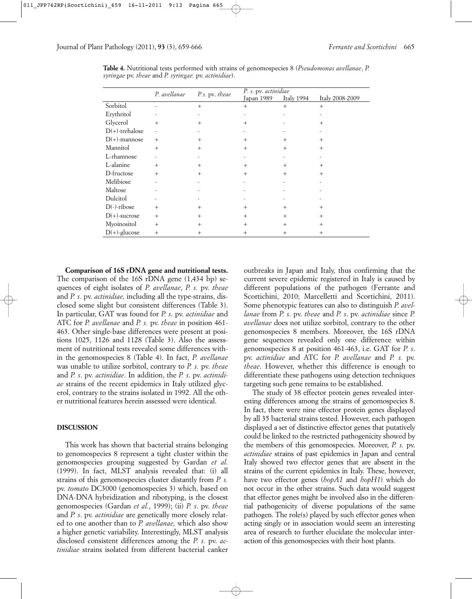|                   | P. avellanae             | P.s. pv. theae | P. s. pv. actinidiae |            |                 |  |  |  |  |  |  |  |
|-------------------|--------------------------|----------------|----------------------|------------|-----------------|--|--|--|--|--|--|--|
|                   |                          |                | Japan 1989           | Italy 1994 | Italy 2008-2009 |  |  |  |  |  |  |  |
| Sorbitol          |                          | $^{+}$         | $^{+}$               | $^{+}$     | $^{+}$          |  |  |  |  |  |  |  |
| Erythritol        |                          |                |                      |            |                 |  |  |  |  |  |  |  |
| Glycerol          | $+$                      | $^{+}$         | $^{+}$               |            | $^{+}$          |  |  |  |  |  |  |  |
| $D(+)$ -trehalose | $\overline{\phantom{m}}$ |                |                      |            |                 |  |  |  |  |  |  |  |
| $D(+)$ -mannose   | $^{+}$                   | $^{+}$         | $^{+}$               | $^{+}$     | $^{+}$          |  |  |  |  |  |  |  |
| Mannitol          | $^{+}$                   | $^{+}$         | $^{+}$               | $^{+}$     | $^{+}$          |  |  |  |  |  |  |  |
| L-rhamnose        | ٠                        |                |                      |            |                 |  |  |  |  |  |  |  |
| L-alanine         | $^{+}$                   | $^{+}$         | $^{+}$               | $^{+}$     | $^{+}$          |  |  |  |  |  |  |  |
| D-fructose        | $^{+}$                   | $^{+}$         | $^{+}$               | $+$        | $^{+}$          |  |  |  |  |  |  |  |
| Melibiose         |                          |                |                      |            |                 |  |  |  |  |  |  |  |
| Maltose           |                          |                |                      |            |                 |  |  |  |  |  |  |  |
| Dulcitol          |                          |                |                      |            |                 |  |  |  |  |  |  |  |
| $D(-)$ -ribose    | $^{+}$                   | $^{+}$         | $^{+}$               | $^{+}$     | $^{+}$          |  |  |  |  |  |  |  |
| $D(+)$ -sucrose   | $^{+}$                   | $^{+}$         | $^{+}$               | $^{+}$     | $^{+}$          |  |  |  |  |  |  |  |
| Myoinositol       | $^{+}$                   | $^{+}$         | $^{+}$               | $^{+}$     | $^{+}$          |  |  |  |  |  |  |  |
| $D(+)$ -glucose   | $^{+}$                   | $^{+}$         | $^{+}$               | $^+$       | $^{+}$          |  |  |  |  |  |  |  |

**Table 4.** Nutritional tests performed with strains of genomospecies 8 (*Pseudomonas avellanae*, *P. syringae* pv. *theae* and *P. syringae.* pv. *actinidiae*).

**Comparison of 16S rDNA gene and nutritional tests.** The comparison of the 16S rDNA gene (1,434 bp) sequences of eight isolates of *P. avellanae*, *P. s.* pv. *theae* and *P. s*. pv. *actinidiae,* including all the type-strains, disclosed some slight but consistent differences (Table 3). In particular, GAT was found for *P. s*. pv. *actinidiae* and ATC for *P. avellanae* and *P. s.* pv. *theae* in position 461- 463. Other single-base differences were present at positions 1025, 1126 and 1128 (Table 3). Also the assessment of nutritional tests revealed some differences within the genomospecies 8 (Table 4). In fact, *P. avellanae* was unable to utilize sorbitol, contrary to *P. s.* pv. *theae* and *P. s*. pv. *actinidiae*. In addition, the *P. s*. pv. *actinidiae* strains of the recent epidemics in Italy utilized glycerol, contrary to the strains isolated in 1992. All the other nutritional features herein assessed were identical.

#### **DISCUSSION**

This work has shown that bacterial strains belonging to genomospecies 8 represent a tight cluster within the genomospecies grouping suggested by Gardan *et al*. (1999). In fact, MLST analysis revealed that: (i) all strains of this genomospecies cluster distantly from *P. s.* pv. *tomato* DC3000 (genomospecies 3) which, based on DNA-DNA hybridization and ribotyping, is the closest genomospecies (Gardan *et al.*, 1999); (ii) *P. s*. pv. *theae* and *P. s*. pv. *actinidiae* are genetically more closely related to one another than to *P. avellanae,* which also show a higher genetic variability. Interestingly, MLST analysis disclosed consistent differences among the *P. s.* pv. *actinidiae* strains isolated from different bacterial canker

outbreaks in Japan and Italy, thus confirming that the current severe epidemic registered in Italy is caused by different populations of the pathogen (Ferrante and Scortichini, 2010; Marcelletti and Scortichini, 2011). Some phenotypic features can also to distinguish *P. avellanae* from *P. s*. pv. *theae* and *P. s*. pv. *actinidiae* since *P. avellanae* does not utilize sorbitol, contrary to the other genomospecies 8 members. Moreover, the 16S rDNA gene sequences revealed only one difference within genomospecies 8 at position 461-463, i.e. GAT for *P. s*. pv. *actinidiae* and ATC for *P. avellanae* and *P. s.* pv. *theae*. However, whether this difference is enough to differentiate these pathogens using detection techniques targeting such gene remains to be established.

The study of 38 effector protein genes revealed interesting differences among the strains of genomospecies 8. In fact, there were nine effector protein genes displayed by all 35 bacterial strains tested. However, each pathogen displayed a set of distinctive effector genes that putatively could be linked to the restricted pathogenicity showed by the members of this genomospecies. Moreover, *P. s.* pv. *actinidiae* strains of past epidemics in Japan and central Italy showed two effector genes that are absent in the strains of the current epidemics in Italy. These, however, have two effector genes (*hopA1* and *hopH1*) which do not occur in the other strains. Such data would suggest that effector genes might be involved also in the differential pathogenicity of diverse populations of the same pathogen. The role(s) played by such effector genes when acting singly or in association would seem an interesting area of research to further elucidate the molecular interaction of this genomospecies with their host plants.